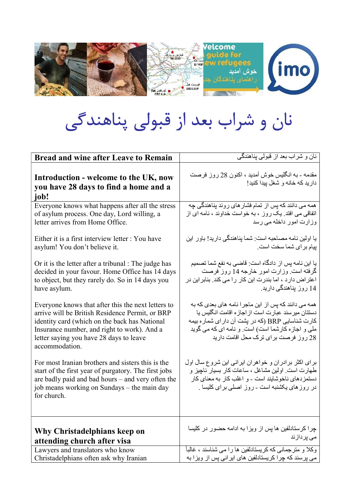

## نان و شراب بعد از قبولي پناهندگي

| <b>Bread and wine after Leave to Remain</b>                                                                                                                                                                                                                        | نان و شر اب بعد از قبولی بناهندگی                                                                                                                                                                                                                        |
|--------------------------------------------------------------------------------------------------------------------------------------------------------------------------------------------------------------------------------------------------------------------|----------------------------------------------------------------------------------------------------------------------------------------------------------------------------------------------------------------------------------------------------------|
| Introduction - welcome to the UK, now<br>you have 28 days to find a home and a<br>iob!                                                                                                                                                                             | مقدمه ـ به انگلیس خوش آمدید ، اکنون 28 روز فرصت<br>دارید که خانه و شغل بیدا کنید!                                                                                                                                                                        |
| Everyone knows what happens after all the stress<br>of asylum process. One day, Lord willing, a<br>letter arrives from Home Office.                                                                                                                                | همه می دانند که پس از تمام فشار های روند پناهندگی چه<br>اتفاقی می افتد. یک روز ، به خواست خداوند ، نامه ای از<br>وز ارت امور داخله می رسد                                                                                                                |
| Either it is a first interview letter : You have<br>asylum! You don't believe it.                                                                                                                                                                                  | یا اولین نامه مصاحبه است: شما پناهندگی دارید! باور این<br>ييام براي شما سخت است.                                                                                                                                                                         |
| Or it is the letter after a tribunal : The judge has<br>decided in your favour. Home Office has 14 days<br>to object, but they rarely do. So in 14 days you<br>have asylum.                                                                                        | يا اين نامه پس از دادگاه است: قاضي به نفع شما تصميم<br>گرفته است. وزارت امور خارجه 14 روز فرصت<br>اعتراض دارد ، اما بندرت این کار را می کند. بنابر این در<br>14 روز پناهندگی دارید.                                                                      |
| Everyone knows that after this the next letters to<br>arrive will be British Residence Permit, or BRP<br>identity card (which on the back has National<br>Insurance number, and right to work). And a<br>letter saying you have 28 days to leave<br>accommodation. | همه می دانند که پس از این ماجرا نامه های بعدی که به<br>دستتان میرسند عبارت است از اجازه اقامت انگلیس یا<br>کارت شناسایی BRP (که در پشت آن دار ای شماره بیمه<br>ملي و اجازه كارشما است) است. و نامه اي كه مي گويد<br>28 روز فرصت برای ترک محل اقامت دارید |
| For most Iranian brothers and sisters this is the<br>start of the first year of purgatory. The first jobs<br>are badly paid and bad hours - and very often the<br>job means working on Sundays – the main day<br>for church.                                       | برای اکثر برادران و خواهران ایرانی این شروع سال اول<br>طهارت است. اولین مشاغل ، ساعات کار بسیار ناچیز و<br>دستمزدهای ناخوشایند است - و اغلب کار به معنای کار<br>در روزهای یکشنبه است ـ روز اصلی برای کلیسا .                                             |
| Why Christadelphians keep on<br>attending church after visa                                                                                                                                                                                                        | چرا کرستادلفین ها پس از ویزا به ادامه حضور در کلیسا<br>م <i>ی</i> پردازند                                                                                                                                                                                |
| Lawyers and translators who know                                                                                                                                                                                                                                   | و کلا و متر جمانی که کر بستادلفین ها را می شناسند ، غالباً                                                                                                                                                                                               |
| Christadelphians often ask why Iranian                                                                                                                                                                                                                             | می پرسند که چرا کریستادلفین های ایرانی پس از ویزا به                                                                                                                                                                                                     |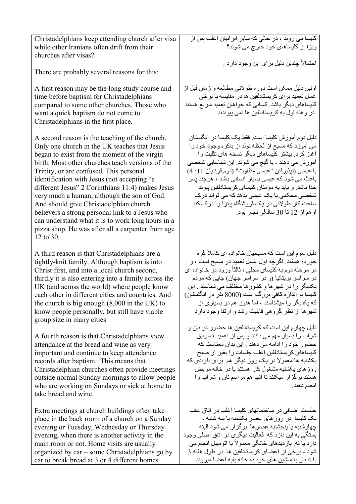| Christadelphians keep attending church after visa<br>while other Iranians often drift from their<br>churches after visas?                                                                                                                                                                                                                                                                                                                                                                                                                                                                                           | کلیسا می روند ، در حالی که سایر ایرانیان اغلب پس از<br>ویزا از کلیساهای خود خارج می شوند؟<br>احتمالاً جِندين دليل بر اي اين وجود دار د :                                                                                                                                                                                                                                                                                                                                                                                     |
|---------------------------------------------------------------------------------------------------------------------------------------------------------------------------------------------------------------------------------------------------------------------------------------------------------------------------------------------------------------------------------------------------------------------------------------------------------------------------------------------------------------------------------------------------------------------------------------------------------------------|------------------------------------------------------------------------------------------------------------------------------------------------------------------------------------------------------------------------------------------------------------------------------------------------------------------------------------------------------------------------------------------------------------------------------------------------------------------------------------------------------------------------------|
| There are probably several reasons for this:                                                                                                                                                                                                                                                                                                                                                                                                                                                                                                                                                                        |                                                                                                                                                                                                                                                                                                                                                                                                                                                                                                                              |
| A first reason may be the long study course and<br>time before baptism for Christadelphians<br>compared to some other churches. Those who<br>want a quick baptism do not come to<br>Christadelphians in the first place.                                                                                                                                                                                                                                                                                                                                                                                            | اولین دلیل ممکن است دوره طولانی مطالعه و زمان قبل از<br>غسل تعمید برای کریستادلفین ها در مقایسه با برخی<br>کلیساهای دیگر باشد. کسانی که خواهان تعمید سریع هستند<br>در و هله اول به کریستادلفین ها نمی بیوندند                                                                                                                                                                                                                                                                                                                |
| A second reason is the teaching of the church.<br>Only one church in the UK teaches that Jesus<br>began to exist from the moment of the virgin<br>birth. Most other churches teach versions of the<br>Trinity, or are confused. This personal<br>identification with Jesus (not accepting "a<br>different Jesus" 2 Corinthians 11:4) makes Jesus<br>very much a human, although the son of God.<br>And should give Christadelphian church<br>believers a strong personal link to a Jesus who<br>can understand what it is to work long hours in a<br>pizza shop. He was after all a carpenter from age<br>12 to 30. | دلیل دوم آموزش کلیسا است. فقط یک کلیسا در انگلستان<br>می آموزد که مسیح از لحظه تولد از باکره وجود خود را<br>آغاز کرد. بیشتر کلیساهای دیگر نسخه های تثلیث را<br>آموزش می دهند ، یا گیج می شوند. این شناسایی شخصبی<br>با عيسى (نيذيرفتن "عيسى متفاوت" (دوم قرنتيان 11: 4)<br>باعث می شود که عیسی بسیار انسانی باشد ، هرچند پسر<br>خدا باشد. و باید به مؤمنان کلیسای کریستادلفین بیوند<br>شخصبی محکمی با یک عیسی بدهد که می تواند در ک<br>ساعت کار طولانی در یک فروشگاه پیتز ا را درک کند.<br>او هم از 12 تا 30 سالگي نجار بود. |
| A third reason is that Christadelphians are a<br>tightly-knit family. Although baptism is into<br>Christ first, and into a local church second,<br>thirdly it is also entering into a family across the<br>UK (and across the world) where people know<br>each other in different cities and countries. And<br>the church is big enough $(8,000)$ in the UK) to<br>know people personally, but still have viable<br>group size in many cities.                                                                                                                                                                      | دلیل سوم این است که مسیحیان خانواده ای کاملاً گره<br>خورده هستند. اگرچه اول غسل نعمید در مسیح است ، و<br>در مرحله دوم به کلیسای محلی ، ثالثاً ورود در خانواده ای<br>در سراسر بریتانیا (و در سراسر جهان) جایی که مردم<br>یکدیگر را در شهرها و کشور ها مختلف می شناسند . این<br>کلیسا به انداز ه کافی بزرگ است (8000 نفر در انگلستان)<br>که یکدیگر را میشناسند ، اما هنوز هم در بسیاری از<br>شهرها از نظر گروهی قابلیت رشد و ارتقا وجود دارد                                                                                   |
| A fourth reason is that Christadelphians view<br>attendance at the bread and wine as very<br>important and continue to keep attendance<br>records after baptism. This means that<br>Christadelphian churches often provide meetings<br>outside normal Sunday mornings to allow people<br>who are working on Sundays or sick at home to<br>take bread and wine.                                                                                                                                                                                                                                                      | دليل جهار م اين است كه كريستادلفين ها حضور در نان و<br>شراب را بسیار مهم می دانند و پس از تعمید ، سوابق<br>حضور خود را ادامه می دهند . این بدان معناست که<br>كليساهاى كريستادلفين اغلب جلسات را بغير از صبح<br>پکشنبه ها معمولا در یک روز دیگر هم برای افرادی که<br>روز های یکشنبه مشغول کار هستند یا در خانه مریض<br>هستند برگزار میکنند تا آنها هم مراسم نان و شراب را<br>انجام دهند.                                                                                                                                      |
| Extra meetings at church buildings often take<br>place in the back room of a church on a Sunday<br>evening or Tuesday, Wednesday or Thursday<br>evening, when there is another activity in the<br>main room or not. Home visits are usually<br>organized by car – some Christadelphians go by<br>car to break bread at 3 or 4 different homes                                                                                                                                                                                                                                                                       | جلسات اضافی در ساختمانهای کلیسا اغلب در اتاق عقب<br>یک کلیسا در روزهای عصر یکشنبه یا سه شنبه ،<br>چهارشنبه یا پنجشنبه عصر ها برگزار می شود البته<br>بستگی به این دازد که فعالیت دیگری در اتاق اصلی وجود<br>دارد یا نه. باز دیدهای خانگی معمولاً با اتومبیل انجام می<br>شود ـ برخي از اعضاي كريستادلفين ها در طول هفته 3<br>يا 4 بار با ماشين هاي خود به خانه بقيه اعضا ميروند                                                                                                                                                |
|                                                                                                                                                                                                                                                                                                                                                                                                                                                                                                                                                                                                                     |                                                                                                                                                                                                                                                                                                                                                                                                                                                                                                                              |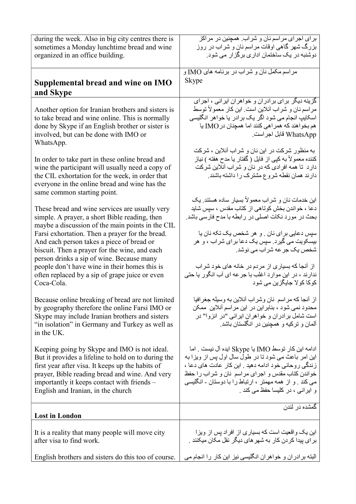| during the week. Also in big city centres there is                                                                                                                                                                                     | برای اجرای مراسم نان و شراب. همچنین در مراکز                                                                                                                                                              |
|----------------------------------------------------------------------------------------------------------------------------------------------------------------------------------------------------------------------------------------|-----------------------------------------------------------------------------------------------------------------------------------------------------------------------------------------------------------|
| sometimes a Monday lunchtime bread and wine                                                                                                                                                                                            | بزرگ شهر گاهی اوقات مراسم نان و شراب در روز                                                                                                                                                               |
| organized in an office building.                                                                                                                                                                                                       | دوشنبه در یک ساختمان اداری برگز ار می شود.                                                                                                                                                                |
| Supplemental bread and wine on IMO                                                                                                                                                                                                     | مراسم مكمل نان و شراب در برنامه هاى IMO و                                                                                                                                                                 |
| and Skype                                                                                                                                                                                                                              | Skype                                                                                                                                                                                                     |
| Another option for Iranian brothers and sisters is                                                                                                                                                                                     | گزینه دیگر برای برادران و خواهران ایرانی ، اجرای                                                                                                                                                          |
| to take bread and wine online. This is normally                                                                                                                                                                                        | مراسم نان و شراب آنلاین است. این کار معمولاً توسط                                                                                                                                                         |
| done by Skype if an English brother or sister is                                                                                                                                                                                       | اسکایپ انجام می شود اگر یک برادر یا خواهر انگلیسی                                                                                                                                                         |
| involved, but can be done with IMO or                                                                                                                                                                                                  | هم بخواهند كه همراهي كنند اما همچنان در IMO يا                                                                                                                                                            |
| WhatsApp.                                                                                                                                                                                                                              | WhatsApp قابل اجراست.                                                                                                                                                                                     |
| In order to take part in these online bread and<br>wine the participant will usually need a copy of<br>the CIL exhortation for the week, in order that<br>everyone in the online bread and wine has the<br>same common starting point. | به منظور شرکت در این نان و شراب آنلاین ، شرکت<br>كننده معمولاً به كپي از فايل ( گفتار يا مدح هفته ) نياز<br>دارد تا همه افرادی که در نان و شراب آنلاین شرکت<br>دارند همان نقطه شروع مشترک را داشته باشند. |
| These bread and wine services are usually very                                                                                                                                                                                         | این خدمات نان و شراب معمولاً بسیار ساده هستند. یک                                                                                                                                                         |
| simple. A prayer, a short Bible reading, then                                                                                                                                                                                          | دعا ، خواندن بخش كوتاهي از كتاب مقدس ، سپس شايد                                                                                                                                                           |
| maybe a discussion of the main points in the CIL                                                                                                                                                                                       | بحث در مورد نکات اصلی در رابطه با مدح فارسی باشد.                                                                                                                                                         |
| Farsi exhortation. Then a prayer for the bread.<br>And each person takes a piece of bread or<br>biscuit. Then a prayer for the wine, and each<br>person drinks a sip of wine. Because many                                             | سپس دعایی برای نان . و هر شخص یک تکه نان یا<br>بیسکویت می گیرد. سپس یک دعا بر ای شر اب ، و هر<br>شخص یک جر عه شراب می نوشد.                                                                               |
| people don't have wine in their homes this is                                                                                                                                                                                          | از آنجا که بسیاری از مردم در خانه های خود شراب                                                                                                                                                            |
| often replaced by a sip of grape juice or even                                                                                                                                                                                         | ندارند ، در این موارد اغلب با جرعه ای آب انگور یا حتی                                                                                                                                                     |
| Coca-Cola.                                                                                                                                                                                                                             | کوکا کو لا جایگزین <i>می</i> شود                                                                                                                                                                          |
| Because online breaking of bread are not limited<br>by geography therefore the online Farsi IMO or<br>Skype may include Iranian brothers and sisters<br>"in isolation" in Germany and Turkey as well as<br>in the UK.                  | از آنجا كه مراسم نان وشراب آنلاين به وسيله جغرافيا<br>محدود نمی شود ، بنابر این در این مر اسم آنلاین  ممکن<br>است شامل برادران و خواهران ایرانی "در انزوا" در<br>آلمان و ترکیه و همچنین در انگلستان باشد. |
| Keeping going by Skype and IMO is not ideal.                                                                                                                                                                                           | ادامه این کار توسط IMO یا Skype ایده آل نیست . اما                                                                                                                                                        |
| But it provides a lifeline to hold on to during the                                                                                                                                                                                    | این امر باعث می شود تا در طول سال اول بس از ویزا به                                                                                                                                                       |
| first year after visa. It keeps up the habits of                                                                                                                                                                                       | زندگی روحانی خود ادامه دهید . این کار عادت های دعا ،                                                                                                                                                      |
| prayer, Bible reading bread and wine. And very                                                                                                                                                                                         | خواندن كتاب مقدس و اجراى مراسم نان و شراب را حفظ                                                                                                                                                          |
| importantly it keeps contact with friends –                                                                                                                                                                                            | می کند . و از همه مهمتر ، ارتباط را با دوستان - انگلیسی                                                                                                                                                   |
| English and Iranian, in the church                                                                                                                                                                                                     | و ابرانی ، در کلیسا حفظ می کند .                                                                                                                                                                          |
| <b>Lost in London</b>                                                                                                                                                                                                                  | گمشده در لندن                                                                                                                                                                                             |
| It is a reality that many people will move city                                                                                                                                                                                        | این یک واقعیت است که بسیاری از افراد پس از ویزا                                                                                                                                                           |
| after visa to find work.                                                                                                                                                                                                               | بر ای بیدا کر دن کار به شهر های دیگر نقل مکان میکنند .                                                                                                                                                    |
| English brothers and sisters do this too of course.                                                                                                                                                                                    | البته برادران و خواهران انگلیسی نیز این کار را انجام می                                                                                                                                                   |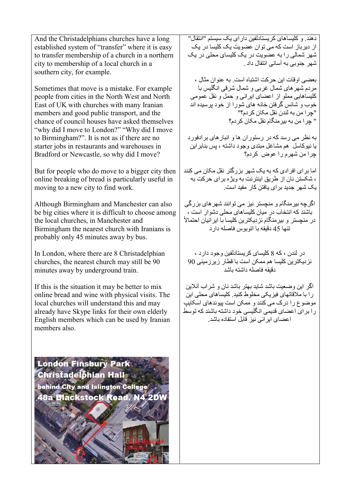And the Christadelphians churches have a long established system of "transfer" where it is easy to transfer membership of a church in a northern city to membership of a local church in a southern city, for example.

Sometimes that move is a mistake. For example people from cities in the North West and North East of UK with churches with many Iranian members and good public transport, and the chance of council houses have asked themselves "why did I move to London?" "Why did I move to Birmingham?". It is not as if there are no starter jobs in restaurants and warehouses in Bradford or Newcastle, so why did I move?

But for people who do move to a bigger city then online breaking of bread is particularly useful in moving to a new city to find work.

Although Birmingham and Manchester can also be big cities where it is difficult to choose among the local churches, in Manchester and Birmingham the nearest church with Iranians is probably only 45 minutes away by bus.

In London, where there are 8 Christadelphian churches, the nearest church may still be 90 minutes away by underground train.

If this is the situation it may be better to mix online bread and wine with physical visits. The local churches will understand this and may already have Skype links for their own elderly English members which can be used by Iranian members also.

London Finsbury Park Christadelphian Hall behind City and Islington College 48a Blackstock Road, N4 2DV

دهند. و کليساهای کريستادلفين دارای يک سيستم "انتقال" از ديرباز است که می توان عضويت يک کليسا در يک شهر شمالی را به عضويت در يک کليسای محلی در يک شهر جنوبی به آسانی انتقال داد .

بعضی اوقات اين حرکت اشتباه است. به عنوان مثال ، مردم شهرهای شمال غربی و شمال شرقی انگليس با کليساهايی مملو از اعضای ايرانی و حمل و نقل عمومی خوب و شانس گرفتن خانه های شورا از خود پرسيده اند "چرا من به لندن نقل مکان کردم؟" " چرا من به بيرمنگام نقل مکان کردم؟

به نظر می رسد که در رستوران ها و انبارهای برادفورد يا نيوکاسل هم مشاغل مبتدی وجود داشته ، پس بنابراين چرا من شهرم را عوض کردم؟

اما برای افرادی که به يک شهر بزرگتر نقل مکان می کنند ، شکستن نان از طريق اينترنت به ويژه برای حرکت به يک شهر جديد برای يافتن کار مفيد است.

اگرچه بيرمنگام و منچستر نيز می توانند شهرهای بزرگی باشند که انتخاب در ميان کليساهای محلی دشوار است ، در منچستر و بيرمنگام نزديکترين کليسا با ايرانيان احتمالاً تنها 45 دقيقه با اتوبوس فاصله دارد

در لندن ، که 8 کليسای کريستادلفين وجود دارد ، نزديکترين کليسا هم ممکن است با قطار زيرزمينی 90 دقيقه فاصله داشته باشد

اگر اين وضعيت باشد شايد بهتر باشد نان و شراب آنلاين را با ملاقاتهای فيزيکی مخلوط کنيد. کليساهای محلی اين موضوع را درک می کنند و ممکن است پيوندهای اسکايپ را برای اعضای قديمی انگليسی خود داشته باشند که توسط اعضای ايرانی نيز قابل استفاده باشد .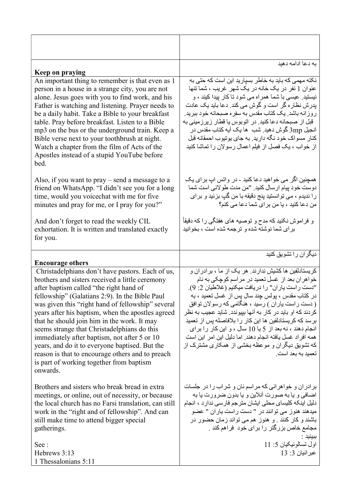| Keep on praying                                                                                                                                                                                                                                                                                                                                                                                                                                                                                                                                                                                                        | به دعا ادامه دهید                                                                                                                                                                                                                                                                                                                                                                                                                                                                                                                                                                          |
|------------------------------------------------------------------------------------------------------------------------------------------------------------------------------------------------------------------------------------------------------------------------------------------------------------------------------------------------------------------------------------------------------------------------------------------------------------------------------------------------------------------------------------------------------------------------------------------------------------------------|--------------------------------------------------------------------------------------------------------------------------------------------------------------------------------------------------------------------------------------------------------------------------------------------------------------------------------------------------------------------------------------------------------------------------------------------------------------------------------------------------------------------------------------------------------------------------------------------|
| An important thing to remember is that even as 1<br>person in a house in a strange city, you are not<br>alone. Jesus goes with you to find work, and his<br>Father is watching and listening. Prayer needs to<br>be a daily habit. Take a Bible to your breakfast<br>table. Pray before breakfast. Listen to a Bible<br>mp3 on the bus or the underground train. Keep a<br>Bible verse next to your toothbrush at night.<br>Watch a chapter from the film of Acts of the<br>Apostles instead of a stupid YouTube before<br>bed.                                                                                        | نکته مهمی که باید به خاطر بسیار ید این است که حتی به<br>عنوان 1 نفر در یک خانه در یک شهر غریب ، شما تنها<br>نیستید. عیسی با شما همراه می شود تا کار پیدا کیند ، و<br>بدرش نظار ہ گر است و گوش می کند. دعا باید یک عادت<br>روز انه باشد. یک کتاب مقدس به سفره صبحانه خود ببرید.<br>قبل از صبحانه دعا کنید. در اتوبوس یا قطار زیرزمینی به<br>انجيل 3mp گوش دهيد. شب  ها يک آيه کتاب مقدس در<br>كنار مسواك خود نگه داريد. به جاي يونيوب احمقانه قبل<br>از خواب ، یک فصل از فیلم اعمال رسولان را تماشا کنید                                                                                    |
| Also, if you want to $\text{pray}$ – send a message to a<br>friend on WhatsApp. "I didn't see you for a long<br>time, would you voice chat with me for five<br>minutes and pray for me, or I pray for you?"                                                                                                                                                                                                                                                                                                                                                                                                            | همچنین اگر می خواهید دعا کنید - در واتس اب بر ای یک<br>دوست خود بيام ارسال كنيد. "من مدت طولاني است شما<br>را ندیدم ، می توانستید پنج دقیقه با من گپ بزنید و برای<br>من دعا کنید ، یا من بر ای شما دعا می کنم؟                                                                                                                                                                                                                                                                                                                                                                             |
| And don't forget to read the weekly CIL<br>exhortation. It is written and translated exactly<br>for you.                                                                                                                                                                                                                                                                                                                                                                                                                                                                                                               | و فراموش نکنید که مدح و توصیه های هفتگی را که دقیقاً<br>برای شما نوشته شده و ترجمه شده است ، بخوانید                                                                                                                                                                                                                                                                                                                                                                                                                                                                                       |
| <b>Encourage others</b>                                                                                                                                                                                                                                                                                                                                                                                                                                                                                                                                                                                                | دیگران را تشویق کنید                                                                                                                                                                                                                                                                                                                                                                                                                                                                                                                                                                       |
| Christadelphians don't have pastors. Each of us,<br>brothers and sisters received a little ceremony<br>after baptism called "the right hand of<br>fellowship" (Galatians 2:9). In the Bible Paul<br>was given this "right hand of fellowship" several<br>years after his baptism, when the apostles agreed<br>that he should join him in the work. It may<br>seems strange that Christadelphians do this<br>immediately after baptism, not after 5 or 10<br>years, and do it to everyone baptised. But the<br>reason is that to encourage others and to preach<br>is part of working together from baptism<br>onwards. | کریستادلفین ها کشیش ندارند. هر یک از ما ، بر ادران و<br>خواهران بعد از غسل تعمید در مراسم کوچکی به نام<br>"دست راست یاران" را دریافت میکنیم (غلاطیان 2: 9).<br>در کتاب مقدس ، پولس چند سال پس از غسل تعمید ، به<br>( دست راست یاران ) رسید ، هنگامی که رسولان توافق<br>کر دند که او باید در کار به آنها بیپوندد. شاید عجیب به نظر<br>برسد که کریستادلفین ها این کار را بلافاصله پس از تعمید<br>انجام دهند ، نه بعد از 5 یا 10 سال ، و این کار را برای<br>همه افر اد غسل يافته انجام دهند. اما دليل اين امر اين است<br>که تشویق دیگران و موعظه بخشی از همکاری مشترک از<br>تعمید به بعد است. |
| Brothers and sisters who break bread in extra<br>meetings, or online, out of necessity, or because<br>the local church has no Farsi translation, can still<br>work in the "right and of fellowship". And can<br>still make time to attend bigger special<br>gatherings.                                                                                                                                                                                                                                                                                                                                                | بر ادر ان و خواهر انی که مر اسم نان و شر اب را در جلسات<br>اضافی و یا به صورت آنلاین و یا بدون ضرورت یا به<br>دلیل اینکه کلیسای محلی ایشان مترجم فارسی ندار د ، انجام<br>ميدهند هنوز مى توانند در " دست راست ياران " عضو<br>باشند و کار کنند <sub>.</sub> و هنوز هم می تواند زمان حضور در<br>مجامع خاص بزرگتر را برای خود  فراهم کند .<br>ببينيد :                                                                                                                                                                                                                                         |
| See:<br>Hebrews 3:13<br>1 Thessalonians 5:11                                                                                                                                                                                                                                                                                                                                                                                                                                                                                                                                                                           | اول تسالونيكيان 5: 11<br>عبرانيان 3: 13                                                                                                                                                                                                                                                                                                                                                                                                                                                                                                                                                    |